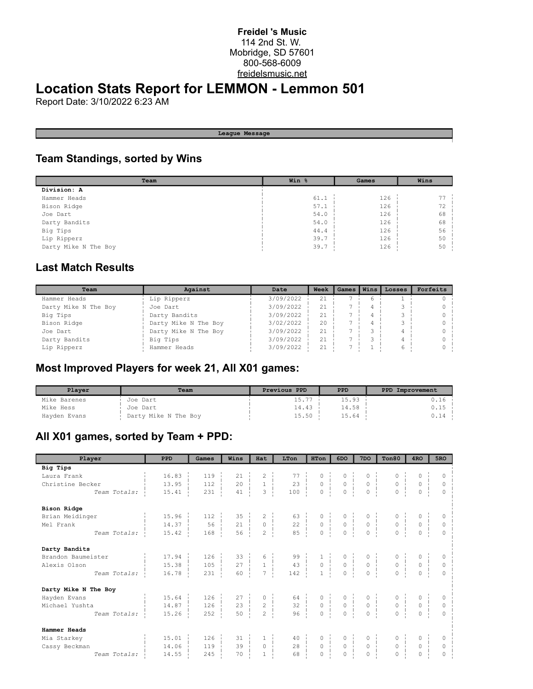#### **Freidel 's Music** 114 2nd St. W. Mobridge, SD 57601 800-568-6009 freidelsmusic.net

# **Location Stats Report for LEMMON - Lemmon 501**

Report Date: 3/10/2022 6:23 AM

#### **League Message**

### **Team Standings, sorted by Wins**

| Team                 | Win % | Games | Wins            |
|----------------------|-------|-------|-----------------|
| Division: A          |       |       |                 |
| Hammer Heads         | 61.1  | 126   |                 |
| Bison Ridge          | 57.1  | 126   | 72              |
| Joe Dart             | 54.0  | 126   | 68              |
| Darty Bandits        | 54.0  | 126   | 68              |
| Big Tips             | 44.4  | 126   | 56              |
| Lip Ripperz          | 39.7  | 126   | 50              |
| Darty Mike N The Boy | 39.7  | 126   | 50 <sup>1</sup> |

#### **Last Match Results**

| Team                 | Against              | Date      | Week | Games <i>I</i> | Wins | Losses | Forfeits |
|----------------------|----------------------|-----------|------|----------------|------|--------|----------|
| Hammer Heads         | Lip Ripperz          | 3/09/2022 | 2.1  |                | 6    |        |          |
| Darty Mike N The Boy | Joe Dart             | 3/09/2022 | 21   |                | 4    |        |          |
| Big Tips             | Darty Bandits        | 3/09/2022 | 21   |                | 4    |        |          |
| Bison Ridge          | Darty Mike N The Boy | 3/02/2022 | 20   |                | 4    |        |          |
| Joe Dart             | Darty Mike N The Boy | 3/09/2022 | 21   |                | ∍    | 4      |          |
| Darty Bandits        | Big Tips             | 3/09/2022 | 2.1  |                |      | 4      |          |
| Lip Ripperz          | Hammer Heads         | 3/09/2022 | 21   |                |      | 6      |          |

### **Most Improved Players for week 21, All X01 games:**

| Plaver       | Team                 | Previous PPD | <b>PPD</b> | PPD Improvement |
|--------------|----------------------|--------------|------------|-----------------|
| Mike Barenes | Joe Dart             | 15.77        | 15.93      | 0.16 +          |
| Mike Hess    | Joe Dart             | 14.43        | 14.58      | 0.15 i          |
| Hayden Evans | Darty Mike N The Boy | 15.50        | 15.64      | 0.14 i          |

## **All X01 games, sorted by Team + PPD:**

| Player               | <b>PPD</b> | Games | Wins            | Hat            | LTon                                                  | HTon                                                              | 6DO                                                   | 7 <sub>DO</sub> | Ton80                                                                         | 4 <sub>RO</sub>                | 5RO           |
|----------------------|------------|-------|-----------------|----------------|-------------------------------------------------------|-------------------------------------------------------------------|-------------------------------------------------------|-----------------|-------------------------------------------------------------------------------|--------------------------------|---------------|
| Big Tips             |            |       |                 |                |                                                       |                                                                   |                                                       |                 |                                                                               |                                |               |
| Laura Frank          | 16.83      | 119   | 21              | $\overline{2}$ | 77                                                    | 0                                                                 | $\circ$                                               | 0               | 0                                                                             | 0                              | $\circ$       |
| Christine Becker     | 13.95      | 112   | 20<br>$\sim 10$ | $\mathbf{1}$   | 23                                                    | $\begin{matrix} 0 &   &   \\ 0 &   &   \\ 0 &   &   \end{matrix}$ | $\frac{1}{1}$<br>$\begin{matrix} 0 \\ 0 \end{matrix}$ | $\circ$         | $\begin{matrix} 0 &   &   &   \\ 0 &   &   &   \\ 0 &   &   &   \end{matrix}$ | $\mathbb O$                    | $\circ$       |
| Team Totals:         | 15.41      | 231   | 41              | $\overline{3}$ | $100 - 1$                                             |                                                                   |                                                       | $\Omega$        |                                                                               | $\circ$                        | $\Omega$      |
| Bison Ridge          |            |       |                 |                |                                                       |                                                                   |                                                       |                 |                                                                               |                                |               |
| Brian Meidinger      | 15.96      | 112   | 35              | $\overline{2}$ | $63 -$                                                | 0                                                                 | $\circ$                                               | 0               | $0 - i$                                                                       | $\circ$                        | $\Omega$      |
| Mel Frank            | 14.37      | 56    | 21<br>- 11      | $\circ$        | 22<br>- 11                                            | $\circ$<br>-1                                                     | $\frac{1}{1}$<br>$\circ$                              | $\circ$         | $0-1$<br>$\mathbb{R}$                                                         | $\mathbb O$                    | $\circ$       |
| Team Totals:         | 15.42      | 168   | 56              | $\overline{2}$ | $85 \frac{1}{2}$                                      | $\circ$<br>$\mathbb{R}$                                           | $\circ$<br>$\mathbf{I}$                               | $\circ$         | 0 <sup>1</sup>                                                                | $\overline{0}$<br>$\mathbf{I}$ | $\Omega$      |
| Darty Bandits        |            |       |                 |                |                                                       |                                                                   |                                                       |                 |                                                                               |                                |               |
| Brandon Baumeister   | 17.94      | 126   | 33              | 6              | $\begin{array}{c c} 99 &   & \\ 43 &   & \end{array}$ | $\mathbf{1}$                                                      | 0                                                     | 0               | $0$ i                                                                         | 0                              | $\circ$       |
| Alexis Olson         | 15.38      | 105   | 27<br>÷.        | $1 - 1$        |                                                       | $\begin{array}{c} 0 \\ 1 \end{array}$                             | $\begin{array}{c} \circ \\ \circ \end{array}$         | $0-1$           | $0 \quad  $                                                                   | $\mathsf{O}\xspace$            | $\circ$       |
| Team Totals:         | 16.78      | 231   | 60              | $\overline{7}$ | 142                                                   | $\mathbf{1}$                                                      | $\mathbf{0}$                                          | $\overline{0}$  | $\overline{0}$                                                                | $\circ$                        | $\Omega$      |
| Darty Mike N The Boy |            |       |                 |                |                                                       |                                                                   |                                                       |                 |                                                                               |                                |               |
| Hayden Evans         | 15.64      | 126   | 27              | $\circ$        | 64                                                    | 0                                                                 | 0                                                     | 0               | $\circ$                                                                       | $\circ$                        | $\circ$       |
| Michael Yushta       | 14.87      | 126   | 23<br>- 11      | $\overline{c}$ | 32                                                    | $0 \frac{1}{1}$                                                   | $0 \frac{1}{2}$                                       | $\circ$         | 0 <sup>1</sup>                                                                | $\mathbb O$                    | $\circ$<br>J. |
| Team Totals:         | 15.26      | 252   | 50              | $\overline{c}$ | 96                                                    | $\overline{0}$                                                    | $\circ$                                               | $\circ$         | $\circ$                                                                       | $\circ$                        | $\Omega$      |
| Hammer Heads         |            |       |                 |                |                                                       |                                                                   |                                                       |                 |                                                                               |                                |               |
| Mia Starkey          | 15.01      | 126   | 31              |                | 40                                                    | 0                                                                 | 0                                                     | 0               | $0$ i                                                                         | 0                              | 0             |
| Cassy Beckman        | 14.06      | 119   | 39              | $\circ$        | 28                                                    | $0-1$                                                             | $\circ$<br>$\mathbf{I}$                               | $\circ$         | $0-1$                                                                         | $\circ$                        | $\circ$       |
| Team Totals:         | 14.55      | 245   | 70              | $\mathbf{1}$   | 68                                                    | $\circ$                                                           | $\circ$                                               | $\circ$         | 0                                                                             | 0                              | $\Omega$      |